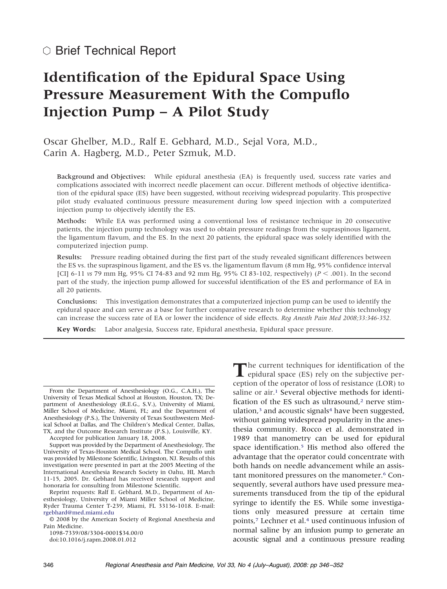# **Identification of the Epidural Space Using Pressure Measurement With the Compuflo Injection Pump – A Pilot Study**

Oscar Ghelber, M.D., Ralf E. Gebhard, M.D., Sejal Vora, M.D., Carin A. Hagberg, M.D., Peter Szmuk, M.D.

Background and Objectives: While epidural anesthesia (EA) is frequently used, success rate varies and complications associated with incorrect needle placement can occur. Different methods of objective identification of the epidural space (ES) have been suggested, without receiving widespread popularity. This prospective pilot study evaluated continuous pressure measurement during low speed injection with a computerized injection pump to objectively identify the ES.

Methods: While EA was performed using a conventional loss of resistance technique in 20 consecutive patients, the injection pump technology was used to obtain pressure readings from the supraspinous ligament, the ligamentum flavum, and the ES. In the next 20 patients, the epidural space was solely identified with the computerized injection pump.

Results: Pressure reading obtained during the first part of the study revealed significant differences between the ES vs. the supraspinous ligament, and the ES vs. the ligamentum flavum (8 mm Hg, 95% confidence interval [CI] 6-11 *vs* 79 mm Hg, 95% CI 74-83 and 92 mm Hg, 95% CI 83-102, respectively) ( $P < .001$ ). In the second part of the study, the injection pump allowed for successful identification of the ES and performance of EA in all 20 patients.

Conclusions: This investigation demonstrates that a computerized injection pump can be used to identify the epidural space and can serve as a base for further comparative research to determine whether this technology can increase the success rate of EA or lower the incidence of side effects. *Reg Anesth Pain Med 2008;33:346-352.*

**Key Words:** Labor analgesia, Success rate, Epidural anesthesia, Epidural space pressure.

Accepted for publication January 18, 2008.

Support was provided by the Department of Anesthesiology, The University of Texas-Houston Medical School. The Compuflo unit was provided by Milestone Scientific, Livingston, NJ. Results of this investigation were presented in part at the 2005 Meeting of the International Anesthesia Research Society in Oahu, HI, March 11-15, 2005. Dr. Gebhard has received research support and honoraria for consulting from Milestone Scientific.

1098-7339/08/3304-0001\$34.00/0

doi:10.1016/j.rapm.2008.01.012

The current techniques for identification of the epidural space (ES) rely on the subjective perception of the operator of loss of resistance (LOR) to saline or air.<sup>1</sup> Several objective methods for identification of the ES such as ultrasound,<sup>2</sup> nerve stimulation,<sup>3</sup> and acoustic signals<sup>4</sup> have been suggested, without gaining widespread popularity in the anesthesia community. Rocco et al. demonstrated in 1989 that manometry can be used for epidural space identification.<sup>5</sup> His method also offered the advantage that the operator could concentrate with both hands on needle advancement while an assistant monitored pressures on the manometer.<sup>6</sup> Consequently, several authors have used pressure measurements transduced from the tip of the epidural syringe to identify the ES. While some investigations only measured pressure at certain time points[,7](#page-5-0) Lechner et al[.4](#page-5-0) used continuous infusion of normal saline by an infusion pump to generate an acoustic signal and a continuous pressure reading

From the Department of Anesthesiology (O.G., C.A.H.), The University of Texas Medical School at Houston, Houston, TX; Department of Anesthesiology (R.E.G., S.V.), University of Miami, Miller School of Medicine, Miami, FL; and the Department of Anesthesiology (P.S.), The University of Texas Southwestern Medical School at Dallas, and The Children's Medical Center, Dallas, TX, and the Outcome Research Institute (P.S.), Louisville, KY.

Reprint requests: Ralf E. Gebhard, M.D., Department of Anesthesiology, University of Miami Miller School of Medicine, Ryder Trauma Center T-239, Miami, FL 33136-1018. E-mail: [rgebhard@med.miami.edu](mailto:rgebhard@med.miami.edu)

<sup>© 2008</sup> by the American Society of Regional Anesthesia and Pain Medicine.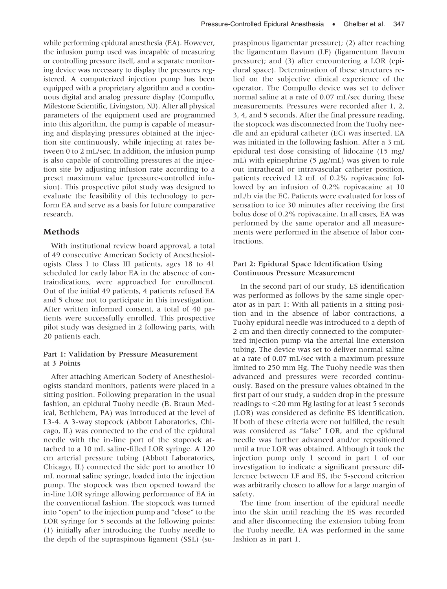while performing epidural anesthesia (EA). However, the infusion pump used was incapable of measuring or controlling pressure itself, and a separate monitoring device was necessary to display the pressures registered. A computerized injection pump has been equipped with a proprietary algorithm and a continuous digital and analog pressure display (Compuflo, Milestone Scientific, Livingston, NJ). After all physical parameters of the equipment used are programmed into this algorithm, the pump is capable of measuring and displaying pressures obtained at the injection site continuously, while injecting at rates between 0 to 2 mL/sec. In addition, the infusion pump is also capable of controlling pressures at the injection site by adjusting infusion rate according to a preset maximum value (pressure-controlled infusion). This prospective pilot study was designed to evaluate the feasibility of this technology to perform EA and serve as a basis for future comparative research.

## **Methods**

With institutional review board approval, a total of 49 consecutive American Society of Anesthesiologists Class I to Class III patients, ages 18 to 41 scheduled for early labor EA in the absence of contraindications, were approached for enrollment. Out of the initial 49 patients, 4 patients refused EA and 5 chose not to participate in this investigation. After written informed consent, a total of 40 patients were successfully enrolled. This prospective pilot study was designed in 2 following parts, with 20 patients each.

## Part 1: Validation by Pressure Measurement at 3 Points

After attaching American Society of Anesthesiologists standard monitors, patients were placed in a sitting position. Following preparation in the usual fashion, an epidural Tuohy needle (B. Braun Medical, Bethlehem, PA) was introduced at the level of L3-4. A 3-way stopcock (Abbott Laboratories, Chicago, IL) was connected to the end of the epidural needle with the in-line port of the stopcock attached to a 10 mL saline-filled LOR syringe. A 120 cm arterial pressure tubing (Abbott Laboratories, Chicago, IL) connected the side port to another 10 mL normal saline syringe, loaded into the injection pump. The stopcock was then opened toward the in-line LOR syringe allowing performance of EA in the conventional fashion. The stopcock was turned into "open" to the injection pump and "close" to the LOR syringe for 5 seconds at the following points: (1) initially after introducing the Tuohy needle to the depth of the supraspinous ligament (SSL) (supraspinous ligamentar pressure); (2) after reaching the ligamentum flavum (LF) (ligamentum flavum pressure); and (3) after encountering a LOR (epidural space). Determination of these structures relied on the subjective clinical experience of the operator. The Compuflo device was set to deliver normal saline at a rate of 0.07 mL/sec during these measurements. Pressures were recorded after 1, 2, 3, 4, and 5 seconds. After the final pressure reading, the stopcock was disconnected from the Tuohy needle and an epidural catheter (EC) was inserted. EA was initiated in the following fashion. After a 3 mL epidural test dose consisting of lidocaine (15 mg/ mL) with epinephrine (5  $\mu$ g/mL) was given to rule out intrathecal or intravascular catheter position, patients received 12 mL of 0.2% ropivacaine followed by an infusion of 0.2% ropivacaine at 10 mL/h via the EC. Patients were evaluated for loss of sensation to ice 30 minutes after receiving the first bolus dose of 0.2% ropivacaine. In all cases, EA was performed by the same operator and all measurements were performed in the absence of labor contractions.

## Part 2: Epidural Space Identification Using Continuous Pressure Measurement

In the second part of our study, ES identification was performed as follows by the same single operator as in part 1: With all patients in a sitting position and in the absence of labor contractions, a Tuohy epidural needle was introduced to a depth of 2 cm and then directly connected to the computerized injection pump via the arterial line extension tubing. The device was set to deliver normal saline at a rate of 0.07 mL/sec with a maximum pressure limited to 250 mm Hg. The Tuohy needle was then advanced and pressures were recorded continuously. Based on the pressure values obtained in the first part of our study, a sudden drop in the pressure readings to <20 mm Hg lasting for at least 5 seconds (LOR) was considered as definite ES identification. If both of these criteria were not fulfilled, the result was considered as "false" LOR, and the epidural needle was further advanced and/or repositioned until a true LOR was obtained. Although it took the injection pump only 1 second in part 1 of our investigation to indicate a significant pressure difference between LF and ES, the 5-second criterion was arbitrarily chosen to allow for a large margin of safety.

The time from insertion of the epidural needle into the skin until reaching the ES was recorded and after disconnecting the extension tubing from the Tuohy needle, EA was performed in the same fashion as in part 1.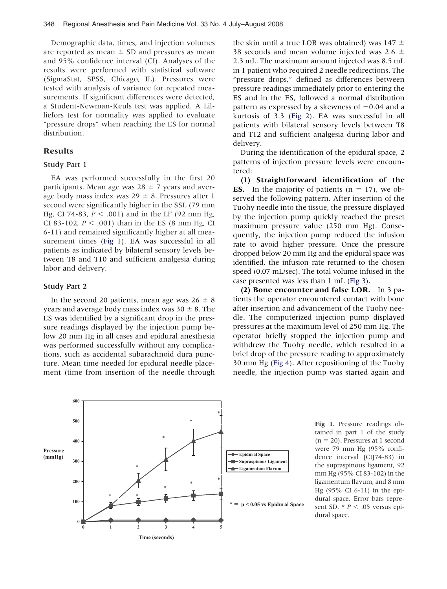Demographic data, times, and injection volumes are reported as mean  $\pm$  SD and pressures as mean and 95% confidence interval (CI). Analyses of the results were performed with statistical software (SigmaStat, SPSS, Chicago, IL). Pressures were tested with analysis of variance for repeated measurements. If significant differences were detected, a Student-Newman-Keuls test was applied. A Lilliefors test for normality was applied to evaluate "pressure drops" when reaching the ES for normal distribution.

#### **Results**

#### Study Part 1

EA was performed successfully in the first 20 participants. Mean age was  $28 \pm 7$  years and average body mass index was  $29 \pm 8$ . Pressures after 1 second were significantly higher in the SSL (79 mm Hg, CI 74-83,  $P < .001$ ) and in the LF (92 mm Hg, CI 83-102,  $P < .001$ ) than in the ES (8 mm Hg, CI 6-11) and remained significantly higher at all measurement times (Fig 1). EA was successful in all patients as indicated by bilateral sensory levels between T8 and T10 and sufficient analgesia during labor and delivery.

### Study Part 2

In the second 20 patients, mean age was  $26 \pm 8$ years and average body mass index was  $30 \pm 8$ . The ES was identified by a significant drop in the pressure readings displayed by the injection pump below 20 mm Hg in all cases and epidural anesthesia was performed successfully without any complications, such as accidental subarachnoid dura puncture. Mean time needed for epidural needle placement (time from insertion of the needle through the skin until a true LOR was obtained) was  $147 \pm$ 38 seconds and mean volume injected was 2.6  $\pm$ 2.3 mL. The maximum amount injected was 8.5 mL in 1 patient who required 2 needle redirections. The "pressure drops," defined as differences between pressure readings immediately prior to entering the ES and in the ES, followed a normal distribution pattern as expressed by a skewness of  $-0.04$  and a kurtosis of 3.3 [\(Fig 2\)](#page-3-0). EA was successful in all patients with bilateral sensory levels between T8 and T12 and sufficient analgesia during labor and delivery.

During the identification of the epidural space, 2 patterns of injection pressure levels were encountered:

**(1) Straightforward identification of the ES.** In the majority of patients  $(n = 17)$ , we observed the following pattern. After insertion of the Tuohy needle into the tissue, the pressure displayed by the injection pump quickly reached the preset maximum pressure value (250 mm Hg). Consequently, the injection pump reduced the infusion rate to avoid higher pressure. Once the pressure dropped below 20 mm Hg and the epidural space was identified, the infusion rate returned to the chosen speed (0.07 mL/sec). The total volume infused in the case presented was less than 1 mL [\(Fig 3\)](#page-4-0).

**(2) Bone encounter and false LOR.** In 3 patients the operator encountered contact with bone after insertion and advancement of the Tuohy needle. The computerized injection pump displayed pressures at the maximum level of 250 mm Hg. The operator briefly stopped the injection pump and withdrew the Tuohy needle, which resulted in a brief drop of the pressure reading to approximately 30 mm Hg [\(Fig 4\)](#page-5-0). After repositioning of the Tuohy needle, the injection pump was started again and



**Fig 1.** Pressure readings obtained in part 1 of the study  $(n = 20)$ . Pressures at 1 second were 79 mm Hg (95% confidence interval [CI]74-83) in the supraspinous ligament, 92 mm Hg (95% CI 83-102) in the ligamentum flavum, and 8 mm Hg (95% CI 6-11) in the epidural space. Error bars represent SD.  $* P < .05$  versus epidural space.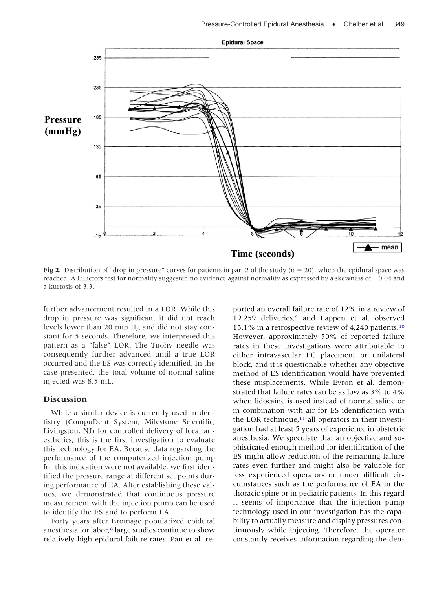<span id="page-3-0"></span>

**Fig 2.** Distribution of "drop in pressure" curves for patients in part 2 of the study ( $n = 20$ ), when the epidural space was reached. A Lilliefors test for normality suggested no evidence against normality as expressed by a skewness of  $-0.04$  and a kurtosis of 3.3.

further advancement resulted in a LOR. While this drop in pressure was significant it did not reach levels lower than 20 mm Hg and did not stay constant for 5 seconds. Therefore, we interpreted this pattern as a "false" LOR. The Tuohy needle was consequently further advanced until a true LOR occurred and the ES was correctly identified. In the case presented, the total volume of normal saline injected was 8.5 mL.

## **Discussion**

While a similar device is currently used in dentistry (CompuDent System; Milestone Scientific, Livingston, NJ) for controlled delivery of local anesthetics, this is the first investigation to evaluate this technology for EA. Because data regarding the performance of the computerized injection pump for this indication were not available, we first identified the pressure range at different set points during performance of EA. After establishing these values, we demonstrated that continuous pressure measurement with the injection pump can be used to identify the ES and to perform EA.

Forty years after Bromage popularized epidural anesthesia for labor[,8](#page-6-0) large studies continue to show relatively high epidural failure rates. Pan et al. reported an overall failure rate of 12% in a review of 19,259 deliveries,<sup>9</sup> and Eappen et al. observed 13.1% in a retrospective review of 4,240 patients[.10](#page-6-0) However, approximately 50% of reported failure rates in these investigations were attributable to either intravascular EC placement or unilateral block, and it is questionable whether any objective method of ES identification would have prevented these misplacements. While Evron et al. demonstrated that failure rates can be as low as 3% to 4% when lidocaine is used instead of normal saline or in combination with air for ES identification with the LOR technique, $11$  all operators in their investigation had at least 5 years of experience in obstetric anesthesia. We speculate that an objective and sophisticated enough method for identification of the ES might allow reduction of the remaining failure rates even further and might also be valuable for less experienced operators or under difficult circumstances such as the performance of EA in the thoracic spine or in pediatric patients. In this regard it seems of importance that the injection pump technology used in our investigation has the capability to actually measure and display pressures continuously while injecting. Therefore, the operator constantly receives information regarding the den-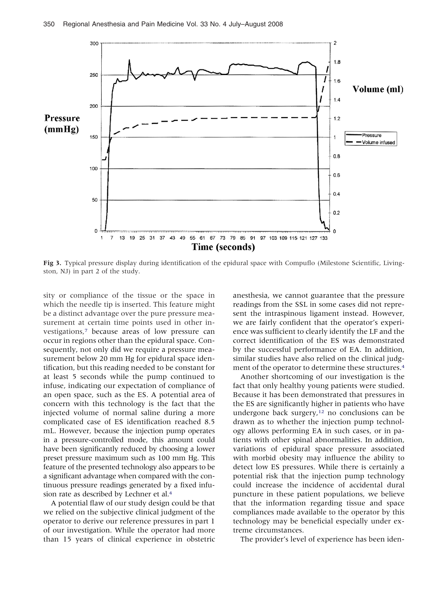<span id="page-4-0"></span>

**Fig 3.** Typical pressure display during identification of the epidural space with Compuflo (Milestone Scientific, Livingston, NJ) in part 2 of the study.

sity or compliance of the tissue or the space in which the needle tip is inserted. This feature might be a distinct advantage over the pure pressure measurement at certain time points used in other investigations[,7](#page-5-0) because areas of low pressure can occur in regions other than the epidural space. Consequently, not only did we require a pressure measurement below 20 mm Hg for epidural space identification, but this reading needed to be constant for at least 5 seconds while the pump continued to infuse, indicating our expectation of compliance of an open space, such as the ES. A potential area of concern with this technology is the fact that the injected volume of normal saline during a more complicated case of ES identification reached 8.5 mL. However, because the injection pump operates in a pressure-controlled mode, this amount could have been significantly reduced by choosing a lower preset pressure maximum such as 100 mm Hg. This feature of the presented technology also appears to be a significant advantage when compared with the continuous pressure readings generated by a fixed infusion rate as described by Lechner et al[.4](#page-5-0)

A potential flaw of our study design could be that we relied on the subjective clinical judgment of the operator to derive our reference pressures in part 1 of our investigation. While the operator had more than 15 years of clinical experience in obstetric anesthesia, we cannot guarantee that the pressure readings from the SSL in some cases did not represent the intraspinous ligament instead. However, we are fairly confident that the operator's experience was sufficient to clearly identify the LF and the correct identification of the ES was demonstrated by the successful performance of EA. In addition, similar studies have also relied on the clinical judgment of the operator to determine these structures[.4](#page-5-0)

Another shortcoming of our investigation is the fact that only healthy young patients were studied. Because it has been demonstrated that pressures in the ES are significantly higher in patients who have undergone back surgery,<sup>12</sup> no conclusions can be drawn as to whether the injection pump technology allows performing EA in such cases, or in patients with other spinal abnormalities. In addition, variations of epidural space pressure associated with morbid obesity may influence the ability to detect low ES pressures. While there is certainly a potential risk that the injection pump technology could increase the incidence of accidental dural puncture in these patient populations, we believe that the information regarding tissue and space compliances made available to the operator by this technology may be beneficial especially under extreme circumstances.

The provider's level of experience has been iden-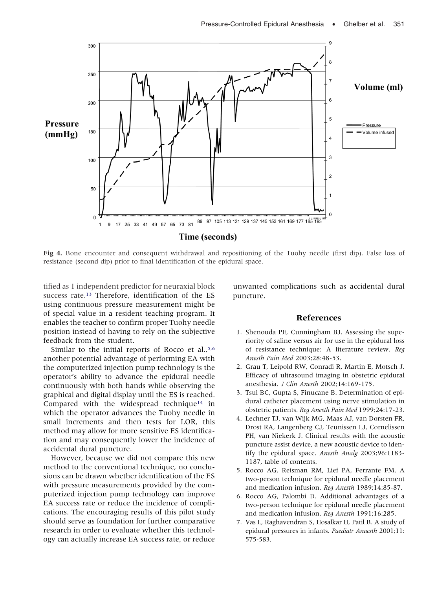<span id="page-5-0"></span>

**Fig 4.** Bone encounter and consequent withdrawal and repositioning of the Tuohy needle (first dip). False loss of resistance (second dip) prior to final identification of the epidural space.

tified as 1 independent predictor for neuraxial block success rate[.13](#page-6-0) Therefore, identification of the ES using continuous pressure measurement might be of special value in a resident teaching program. It enables the teacher to confirm proper Tuohy needle position instead of having to rely on the subjective feedback from the student.

Similar to the initial reports of Rocco et al.,<sup>5,6</sup> another potential advantage of performing EA with the computerized injection pump technology is the operator's ability to advance the epidural needle continuously with both hands while observing the graphical and digital display until the ES is reached. Compared with the widespread technique<sup>14</sup> in which the operator advances the Tuohy needle in small increments and then tests for LOR, this method may allow for more sensitive ES identification and may consequently lower the incidence of accidental dural puncture.

However, because we did not compare this new method to the conventional technique, no conclusions can be drawn whether identification of the ES with pressure measurements provided by the computerized injection pump technology can improve EA success rate or reduce the incidence of complications. The encouraging results of this pilot study should serve as foundation for further comparative research in order to evaluate whether this technology can actually increase EA success rate, or reduce

unwanted complications such as accidental dural puncture.

### **References**

- 1. Shenouda PE, Cunningham BJ. Assessing the superiority of saline versus air for use in the epidural loss of resistance technique: A literature review. *Reg Anesth Pain Med* 2003;28:48-53.
- 2. Grau T, Leipold RW, Conradi R, Martin E, Motsch J. Efficacy of ultrasound imaging in obstetric epidural anesthesia. *J Clin Anesth* 2002;14:169-175.
- 3. Tsui BC, Gupta S, Finucane B. Determination of epidural catheter placement using nerve stimulation in obstetric patients. *Reg Anesth Pain Med* 1999;24:17-23.
- 4. Lechner TJ, van Wijk MG, Maas AJ, van Dorsten FR, Drost RA, Langenberg CJ, Teunissen LJ, Cornelissen PH, van Niekerk J. Clinical results with the acoustic puncture assist device, a new acoustic device to identify the epidural space. *Anesth Analg* 2003;96:1183- 1187, table of contents.
- 5. Rocco AG, Reisman RM, Lief PA, Ferrante FM. A two-person technique for epidural needle placement and medication infusion. *Reg Anesth* 1989;14:85-87.
- 6. Rocco AG, Palombi D. Additional advantages of a two-person technique for epidural needle placement and medication infusion. *Reg Anesth* 1991;16:285.
- 7. Vas L, Raghavendran S, Hosalkar H, Patil B. A study of epidural pressures in infants. *Paediatr Anaesth* 2001;11: 575-583.